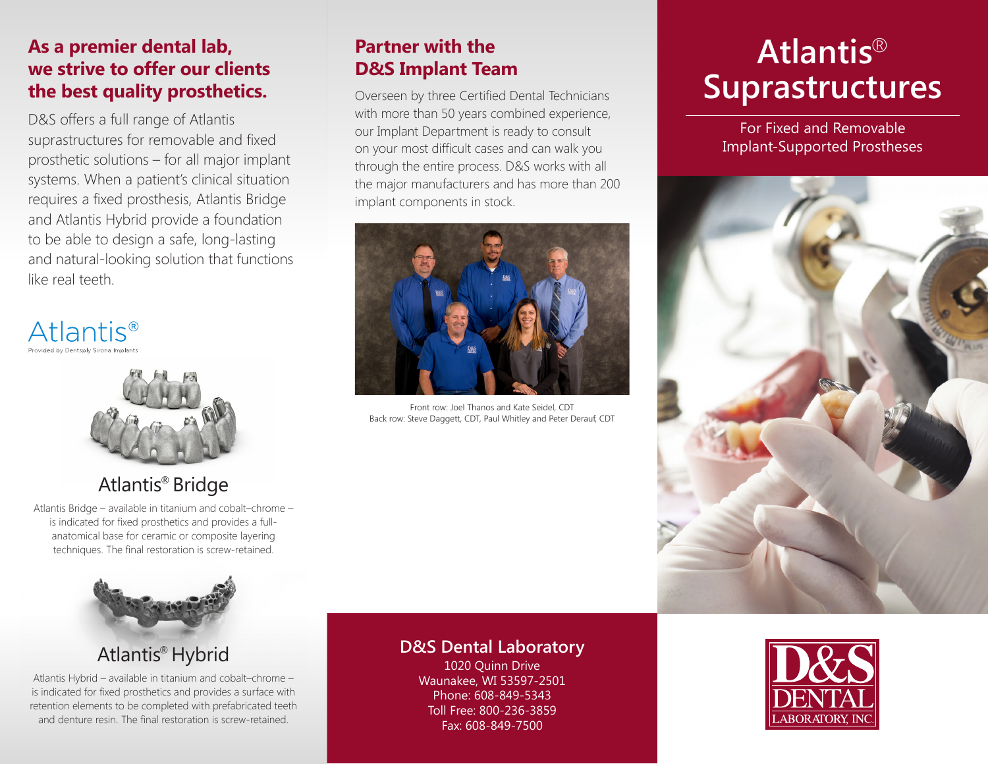### **As a premier dental lab, we strive to offer our clients the best quality prosthetics.**

D&S offers a full range of Atlantis suprastructures for removable and fixed prosthetic solutions – for all major implant systems. When a patient's clinical situation requires a fixed prosthesis, Atlantis Bridge and Atlantis Hybrid provide a foundation to be able to design a safe, long-lasting and natural-looking solution that functions like real teeth.

**Atlantis**<sup>®</sup> ided by Dentsnly Sirona Implants



# Atlantis® Bridge

Atlantis Bridge – available in titanium and cobalt–chrome – is indicated for fixed prosthetics and provides a fullanatomical base for ceramic or composite layering techniques. The final restoration is screw-retained.



# Atlantis® Hybrid

Atlantis Hybrid – available in titanium and cobalt–chrome – is indicated for fixed prosthetics and provides a surface with retention elements to be completed with prefabricated teeth and denture resin. The final restoration is screw-retained.

### **Partner with the D&S Implant Team**

Overseen by three Certified Dental Technicians with more than 50 years combined experience, our Implant Department is ready to consult on your most difficult cases and can walk you through the entire process. D&S works with all the major manufacturers and has more than 200 implant components in stock.



Front row: Joel Thanos and Kate Seidel, CDT Back row: Steve Daggett, CDT, Paul Whitley and Peter Derauf, CDT

#### **D&S Dental Laboratory**

1020 Quinn Drive Waunakee, WI 53597-2501 Phone: 608-849-5343 Toll Free: 800-236-3859 Fax: 608-849-7500

# **Atlantis**® **Suprastructures**

For Fixed and Removable Implant-Supported Prostheses